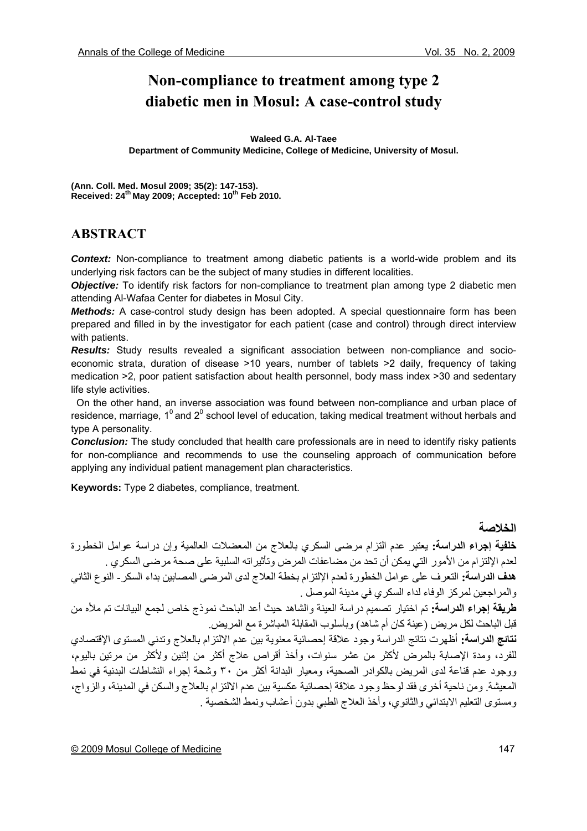# **Non-compliance to treatment among type 2 diabetic men in Mosul: A case-control study**

#### **Waleed G.A. Al-Taee**

**Department of Community Medicine, College of Medicine, University of Mosul.** 

**(Ann. Coll. Med. Mosul 2009; 35(2): 147-153).**  Received: 24<sup>th</sup> May 2009; Accepted: 10<sup>th</sup> Feb 2010.

## **ABSTRACT**

**Context:** Non-compliance to treatment among diabetic patients is a world-wide problem and its underlying risk factors can be the subject of many studies in different localities.

*Objective:* To identify risk factors for non-compliance to treatment plan among type 2 diabetic men attending Al-Wafaa Center for diabetes in Mosul City.

*Methods:* A case-control study design has been adopted. A special questionnaire form has been prepared and filled in by the investigator for each patient (case and control) through direct interview with patients.

*Results:* Study results revealed a significant association between non-compliance and socioeconomic strata, duration of disease >10 years, number of tablets >2 daily, frequency of taking medication >2, poor patient satisfaction about health personnel, body mass index >30 and sedentary life style activities.

 On the other hand, an inverse association was found between non-compliance and urban place of residence, marriage, 1<sup>0</sup> and 2<sup>0</sup> school level of education, taking medical treatment without herbals and type A personality.

*Conclusion:* The study concluded that health care professionals are in need to identify risky patients for non-compliance and recommends to use the counseling approach of communication before applying any individual patient management plan characteristics.

**Keywords:** Type 2 diabetes, compliance, treatment.

### **الخلاصة**

**خلفية إجراء الدراسة:** يعتبر عدم التزام مرضى السكري بالعلاج من المعضلات العالمية وإن دراسة عوامل الخطورة لعدم الإلتزام من الأمور التي يمكن أن تحد من مضاعفات المرض وتأثيراته السلبية على صحة مرضى السكري . **هدف الدراسة:** التعرف على عوامل الخطورة لعدم الإلتزام بخطة العلاج لدى المرضى المصابين بداء السكر- النوع الثاني والمراجعين لمركز الوفاء لداء السكري في مدينة الموصل . **طريقة إجراء الدراسة:** تم اختيار تصميم دراسة العينة والشاهد حيث أعد الباحث نموذج خاص لجمع البيانات تم ملأه من قبل الباحث لكل مريض (عينة كان أم شاهد) وبأسلوب المقابلة المباشر ة مع المريض **نتائج الدراسة:** أظهرت نتائج الدراسة وجود علاقة إحصائية معنوية بين عدم الالتزام بالعلاج وتدني المستوى الإقتصادي للفرد، ومدة الإصابة بالمرض لأكثر من عشر سنوات، وأخذ أقراص علاج أكثر من إثنين ولأكثر من مرتين باليوم، ووجود عدم قناعة لدى المريض بالكوادر الصحية، ومعيار البدانة أآثر من ٣٠ وشحة إجراء النشاطات البدنية في نمط المعيشة. ومن ناحية أخرى فقد لوحظ وجود علاقة إحصائية عكسية بين عدم الالتزام بالعلاج والسكن في المدينة، والزواج، ومستوى التعليم الابتدائي والثانوي، وأخذ العلاج الطبي بدون أعشاب ونمط الشخصية .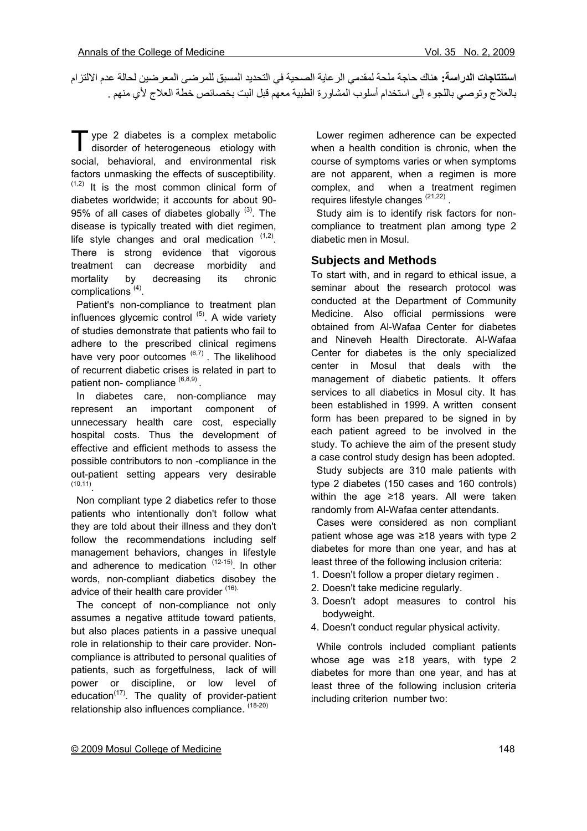**استنتاجات الدراسة:** هناك حاجة ملحة لمقدمي الرعاية الصحية في التحديد المسبق للمرضى المعرضين لحالة عدم الالتزام بالعلاج وتوصي باللجوء إلى استخدام أسلوب المشاورة الطبية معهم قبل البت بخصائص خطة العلاج لأي منهم .

vpe 2 diabetes is a complex metabolic T ype 2 diabetes is a complex metabolic<br>disorder of heterogeneous etiology with social, behavioral, and environmental risk factors unmasking the effects of susceptibility.  $(1,2)$  It is the most common clinical form of diabetes worldwide; it accounts for about 90- 95% of all cases of diabetes globally  $(3)$ . The disease is typically treated with diet regimen, life style changes and oral medication  $(1,2)$ . There is strong evidence that vigorous treatment can decrease morbidity and mortality by decreasing its chronic complications (4).

 Patient's non-compliance to treatment plan influences glycemic control  $(5)$ . A wide variety of studies demonstrate that patients who fail to adhere to the prescribed clinical regimens have very poor outcomes  $(6,7)$ . The likelihood of recurrent diabetic crises is related in part to patient non- compliance  $(6,8,9)$ .

 In diabetes care, non-compliance may represent an important component of unnecessary health care cost, especially hospital costs. Thus the development of effective and efficient methods to assess the possible contributors to non -compliance in the out-patient setting appears very desirable (10,11).

 Non compliant type 2 diabetics refer to those patients who intentionally don't follow what they are told about their illness and they don't follow the recommendations including self management behaviors, changes in lifestyle and adherence to medication  $(12-15)$ . In other words, non-compliant diabetics disobey the advice of their health care provider (16).

 The concept of non-compliance not only assumes a negative attitude toward patients, but also places patients in a passive unequal role in relationship to their care provider. Noncompliance is attributed to personal qualities of patients, such as forgetfulness, lack of will power or discipline, or low level of education $(17)$ . The quality of provider-patient relationship also influences compliance. (18-20)

 Lower regimen adherence can be expected when a health condition is chronic, when the course of symptoms varies or when symptoms are not apparent, when a regimen is more complex, and when a treatment regimen requires lifestyle changes  $(21,22)$ .

 Study aim is to identify risk factors for noncompliance to treatment plan among type 2 diabetic men in Mosul.

#### **Subjects and Methods**

To start with, and in regard to ethical issue, a seminar about the research protocol was conducted at the Department of Community Medicine. Also official permissions were obtained from Al-Wafaa Center for diabetes and Nineveh Health Directorate. Al-Wafaa Center for diabetes is the only specialized center in Mosul that deals with the management of diabetic patients. It offers services to all diabetics in Mosul city. It has been established in 1999. A written consent form has been prepared to be signed in by each patient agreed to be involved in the study. To achieve the aim of the present study a case control study design has been adopted.

 Study subjects are 310 male patients with type 2 diabetes (150 cases and 160 controls) within the age ≥18 years. All were taken randomly from Al-Wafaa center attendants.

 Cases were considered as non compliant patient whose age was ≥18 years with type 2 diabetes for more than one year, and has at least three of the following inclusion criteria:

- 1. Doesn't follow a proper dietary regimen .
- 2. Doesn't take medicine regularly.
- 3. Doesn't adopt measures to control his bodyweight.
- 4. Doesn't conduct regular physical activity.

 While controls included compliant patients whose age was ≥18 years, with type 2 diabetes for more than one year, and has at least three of the following inclusion criteria including criterion number two: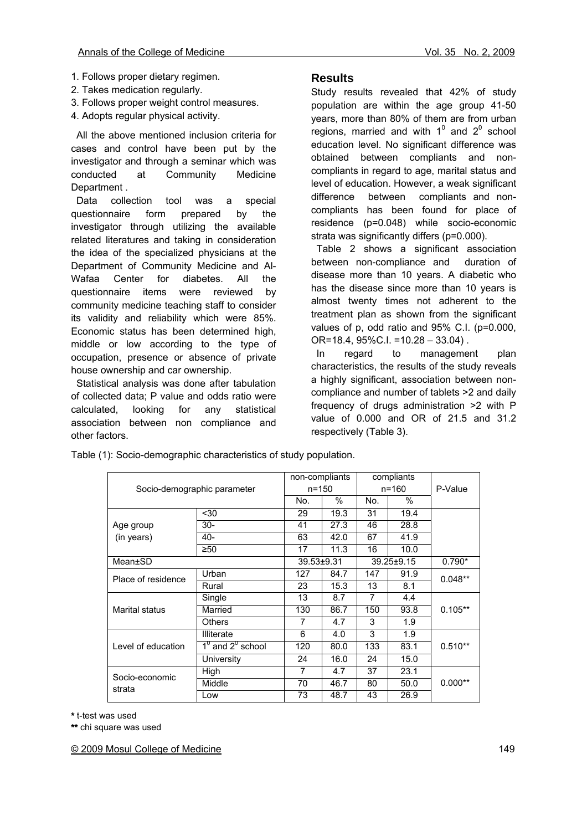- 1. Follows proper dietary regimen.
- 2. Takes medication regularly.
- 3. Follows proper weight control measures.
- 4. Adopts regular physical activity.

 All the above mentioned inclusion criteria for cases and control have been put by the investigator and through a seminar which was conducted at Community Medicine Department .

 Data collection tool was a special questionnaire form prepared by the investigator through utilizing the available related literatures and taking in consideration the idea of the specialized physicians at the Department of Community Medicine and Al-Wafaa Center for diabetes. All the questionnaire items were reviewed by community medicine teaching staff to consider its validity and reliability which were 85%. Economic status has been determined high, middle or low according to the type of occupation, presence or absence of private house ownership and car ownership.

 Statistical analysis was done after tabulation of collected data; P value and odds ratio were calculated, looking for any statistical association between non compliance and other factors.

### **Results**

Study results revealed that 42% of study population are within the age group 41-50 years, more than 80% of them are from urban regions, married and with  $1^0$  and  $2^0$  school education level. No significant difference was obtained between compliants and noncompliants in regard to age, marital status and level of education. However, a weak significant difference between compliants and noncompliants has been found for place of residence (p=0.048) while socio-economic strata was significantly differs (p=0.000).

 Table 2 shows a significant association between non-compliance and duration of disease more than 10 years. A diabetic who has the disease since more than 10 years is almost twenty times not adherent to the treatment plan as shown from the significant values of p, odd ratio and 95% C.I. (p=0.000, OR=18.4, 95%C.I. =10.28 – 33.04) .

 In regard to management plan characteristics, the results of the study reveals a highly significant, association between noncompliance and number of tablets >2 and daily frequency of drugs administration >2 with P value of 0.000 and OR of 21.5 and 31.2 respectively (Table 3).

Table (1): Socio-demographic characteristics of study population.

|                             | non-compliants         |            | compliants |                  |      |           |  |
|-----------------------------|------------------------|------------|------------|------------------|------|-----------|--|
| Socio-demographic parameter |                        | $n = 150$  |            | n=160            |      | P-Value   |  |
|                             | No.                    | $\%$       | No.        | $\%$             |      |           |  |
|                             | $30$                   | 29         | 19.3       | 31               | 19.4 |           |  |
| Age group                   | $30-$                  | 41         | 27.3       | 46               | 28.8 |           |  |
| (in years)                  | 40-                    | 63         | 42.0       | 67               | 41.9 |           |  |
|                             | ≥50                    | 17         | 11.3       | 16               | 10.0 |           |  |
| Mean±SD                     |                        | 39.53±9.31 |            | $39.25 \pm 9.15$ |      | $0.790*$  |  |
| Place of residence          | Urban                  | 127        | 84.7       | 147              | 91.9 | $0.048**$ |  |
|                             | Rural                  | 23         | 15.3       | 13               | 8.1  |           |  |
|                             | Single                 | 13         | 8.7        | 7                | 4.4  | $0.105**$ |  |
| <b>Marital status</b>       | Married                | 130        | 86.7       | 150              | 93.8 |           |  |
|                             | <b>Others</b>          | 7          | 4.7        | 3                | 1.9  |           |  |
| Level of education          | <b>Illiterate</b>      | 6          | 4.0        | 3                | 1.9  | $0.510**$ |  |
|                             | $1^0$ and $2^0$ school | 120        | 80.0       | 133              | 83.1 |           |  |
|                             | University             | 24         | 16.0       | 24               | 15.0 |           |  |
| Socio-economic<br>strata    | High                   | 7          | 4.7        | 37               | 23.1 |           |  |
|                             | Middle                 | 70         | 46.7       | 80               | 50.0 | $0.000**$ |  |
|                             | Low                    |            | 48.7       | 43               | 26.9 |           |  |

**\*** t-test was used

**\*\*** chi square was used

© 2009 Mosul College of Medicine 149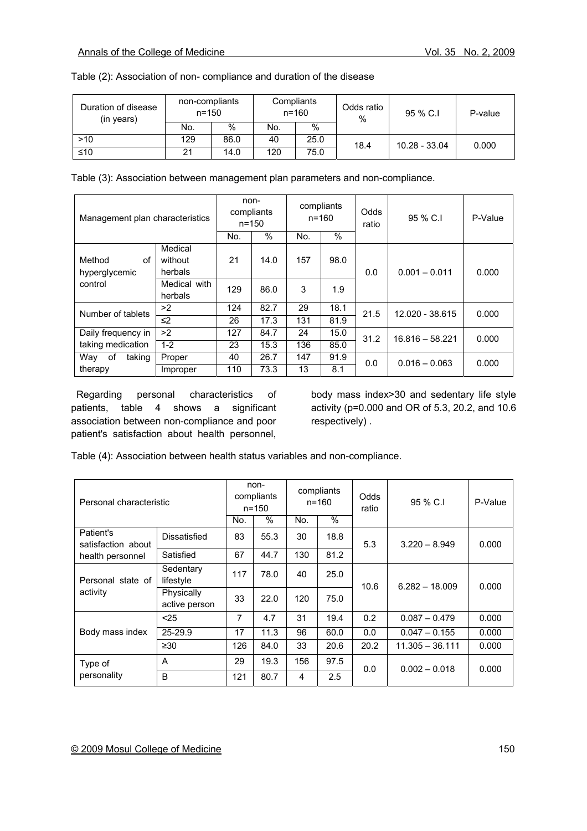|  |  |  |  |  | Table (2): Association of non- compliance and duration of the disease |
|--|--|--|--|--|-----------------------------------------------------------------------|
|--|--|--|--|--|-----------------------------------------------------------------------|

| Duration of disease<br>(in years) | non-compliants<br>$n = 150$ |      |     | Compliants<br>$n = 160$ | Odds ratio<br>% | 95 % C.I      | P-value |
|-----------------------------------|-----------------------------|------|-----|-------------------------|-----------------|---------------|---------|
|                                   | No.                         | $\%$ | No. | $\%$                    |                 |               |         |
| >10                               | 129                         | 86.0 | 40  | 25.0                    | 18.4            | 10.28 - 33.04 | 0.000   |
| ≤10                               | 21                          | 14.0 | 120 | 75.0                    |                 |               |         |

Table (3): Association between management plan parameters and non-compliance.

| Management plan characteristics |              | non-<br>compliants<br>$n = 150$<br>$\frac{0}{0}$<br>No. |      | compliants<br>$n = 160$<br>$\%$<br>No. |      | Odds<br>ratio | 95 % C.I          | P-Value |
|---------------------------------|--------------|---------------------------------------------------------|------|----------------------------------------|------|---------------|-------------------|---------|
|                                 | Medical      |                                                         |      |                                        |      |               |                   |         |
| Method<br>οf                    | without      | 21                                                      | 14.0 | 157                                    | 98.0 |               |                   |         |
| hyperglycemic                   | herbals      |                                                         |      |                                        |      | 0.0           | $0.001 - 0.011$   | 0.000   |
| control                         | Medical with | 129                                                     | 86.0 | 3                                      | 1.9  |               |                   |         |
|                                 | herbals      |                                                         |      |                                        |      |               |                   |         |
| Number of tablets               | >2           | 124                                                     | 82.7 | 29                                     | 18.1 | 21.5          | 12.020 - 38.615   | 0.000   |
|                                 | $\leq$ 2     | 26                                                      | 17.3 | 131                                    | 81.9 |               |                   |         |
| Daily frequency in              | >2           | 127                                                     | 84.7 | 24                                     | 15.0 | 31.2          | $16.816 - 58.221$ | 0.000   |
| taking medication               | $1 - 2$      | 23                                                      | 15.3 | 136                                    | 85.0 |               |                   |         |
| Way<br>taking<br>of             | Proper       | 40                                                      | 26.7 | 147                                    | 91.9 | 0.0           | $0.016 - 0.063$   | 0.000   |
| therapy                         | Improper     | 110                                                     | 73.3 | 13                                     | 8.1  |               |                   |         |

 Regarding personal characteristics of patients, table 4 shows a significant association between non-compliance and poor patient's satisfaction about health personnel,

body mass index>30 and sedentary life style activity (p=0.000 and OR of 5.3, 20.2, and 10.6 respectively) .

Table (4): Association between health status variables and non-compliance.

| Personal characteristic                             |                             | non-<br>compliants<br>n=150 |      | compliants<br>$n = 160$ |               | Odds<br>ratio | 95 % C.I         | P-Value |
|-----------------------------------------------------|-----------------------------|-----------------------------|------|-------------------------|---------------|---------------|------------------|---------|
|                                                     |                             | No.                         | $\%$ | No.                     | $\frac{0}{0}$ |               |                  |         |
| Patient's<br>satisfaction about<br>health personnel | Dissatisfied                | 83                          | 55.3 | 30                      | 18.8          | 5.3           | $3.220 - 8.949$  | 0.000   |
|                                                     | Satisfied                   | 67                          | 44.7 | 130                     | 81.2          |               |                  |         |
| Personal state of<br>activity                       | Sedentary<br>lifestyle      | 117                         | 78.0 | 40                      | 25.0          | 10.6          | $6.282 - 18.009$ | 0.000   |
|                                                     | Physically<br>active person | 33                          | 22.0 | 120                     | 75.0          |               |                  |         |
|                                                     | $25$                        | 7                           | 4.7  | 31                      | 19.4          | 0.2           | $0.087 - 0.479$  | 0.000   |
| Body mass index                                     | 25-29.9                     | 17                          | 11.3 | 96                      | 60.0          | 0.0           | $0.047 - 0.155$  | 0.000   |
|                                                     | ≥ $30$                      | 126                         | 84.0 | 33                      | 20.6          | 20.2          | 11.305 - 36.111  | 0.000   |
| Type of<br>personality                              | A                           | 29                          | 19.3 | 156                     | 97.5          | 0.0           | $0.002 - 0.018$  | 0.000   |
|                                                     | B                           | 121                         | 80.7 | 4                       | 2.5           |               |                  |         |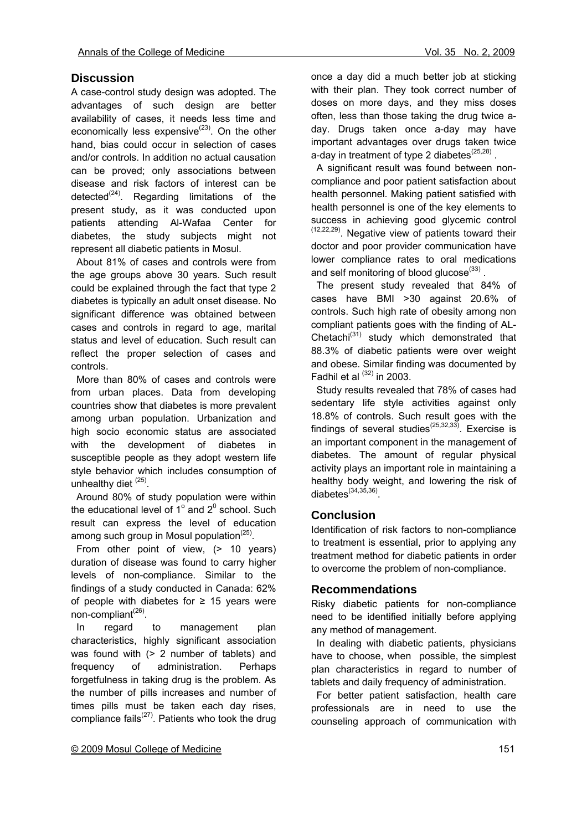## **Discussion**

A case-control study design was adopted. The advantages of such design are better availability of cases, it needs less time and economically less expensive $(23)$ . On the other hand, bias could occur in selection of cases and/or controls. In addition no actual causation can be proved; only associations between disease and risk factors of interest can be detected<sup>(24)</sup>. Regarding limitations of the present study, as it was conducted upon patients attending Al-Wafaa Center for diabetes, the study subjects might not represent all diabetic patients in Mosul.

 About 81% of cases and controls were from the age groups above 30 years. Such result could be explained through the fact that type 2 diabetes is typically an adult onset disease. No significant difference was obtained between cases and controls in regard to age, marital status and level of education. Such result can reflect the proper selection of cases and controls.

 More than 80% of cases and controls were from urban places. Data from developing countries show that diabetes is more prevalent among urban population. Urbanization and high socio economic status are associated with the development of diabetes in susceptible people as they adopt western life style behavior which includes consumption of unhealthy diet  $(25)$ .

 Around 80% of study population were within the educational level of 1 $^{\circ}$  and 2 $^{\circ}$  school. Such result can express the level of education among such group in Mosul population<sup> $(25)$ </sup>.

From other point of view, (> 10 years) duration of disease was found to carry higher levels of non-compliance. Similar to the findings of a study conducted in Canada: 62% of people with diabetes for  $\geq$  15 years were non-compliant<sup>(26)</sup>.

 In regard to management plan characteristics, highly significant association was found with (> 2 number of tablets) and frequency of administration. Perhaps forgetfulness in taking drug is the problem. As the number of pills increases and number of times pills must be taken each day rises, compliance fails<sup> $(27)$ </sup>. Patients who took the drug

once a day did a much better job at sticking with their plan. They took correct number of doses on more days, and they miss doses often, less than those taking the drug twice aday. Drugs taken once a-day may have important advantages over drugs taken twice a-day in treatment of type 2 diabetes $^{(25,28)}$ .

 A significant result was found between noncompliance and poor patient satisfaction about health personnel. Making patient satisfied with health personnel is one of the key elements to success in achieving good glycemic control  $(12,22,29)$ . Negative view of patients toward their doctor and poor provider communication have lower compliance rates to oral medications and self monitoring of blood glucose $(33)$ .

 The present study revealed that 84% of cases have BMI >30 against 20.6% of controls. Such high rate of obesity among non compliant patients goes with the finding of AL-Chetachi $(31)$  study which demonstrated that 88.3% of diabetic patients were over weight and obese. Similar finding was documented by Fadhil et al  $(32)$  in 2003.

 Study results revealed that 78% of cases had sedentary life style activities against only 18.8% of controls. Such result goes with the findings of several studies<sup>(25,32,33)</sup>. Exercise is an important component in the management of diabetes. The amount of regular physical activity plays an important role in maintaining a healthy body weight, and lowering the risk of  $diabetes^{(34,35,36)}$ 

## **Conclusion**

Identification of risk factors to non-compliance to treatment is essential, prior to applying any treatment method for diabetic patients in order to overcome the problem of non-compliance.

#### **Recommendations**

Risky diabetic patients for non-compliance need to be identified initially before applying any method of management.

 In dealing with diabetic patients, physicians have to choose, when possible, the simplest plan characteristics in regard to number of tablets and daily frequency of administration.

 For better patient satisfaction, health care professionals are in need to use the counseling approach of communication with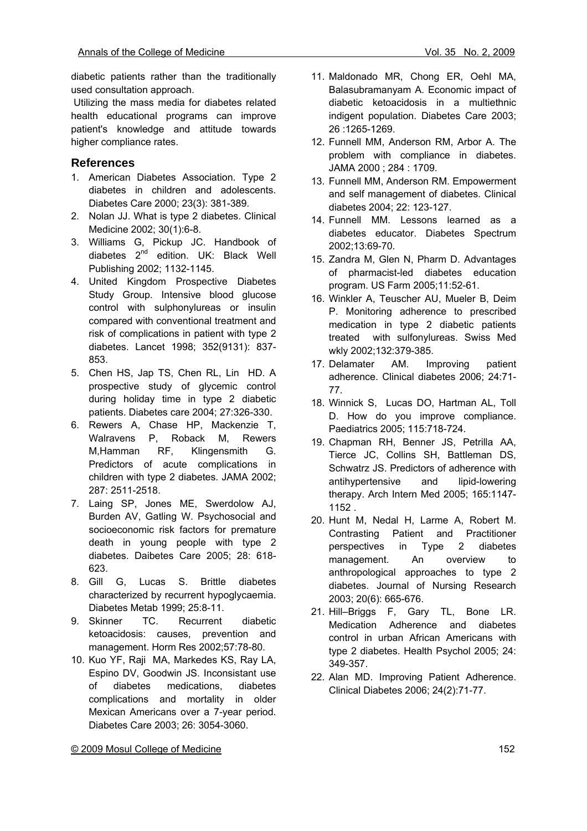diabetic patients rather than the traditionally used consultation approach.

 Utilizing the mass media for diabetes related health educational programs can improve patient's knowledge and attitude towards higher compliance rates.

## **References**

- 1. American Diabetes Association. Type 2 diabetes in children and adolescents. Diabetes Care 2000; 23(3): 381-389.
- 2. Nolan JJ. What is type 2 diabetes. Clinical Medicine 2002; 30(1):6-8.
- 3. Williams G, Pickup JC. Handbook of diabetes 2nd edition. UK: Black Well Publishing 2002; 1132-1145.
- 4. United Kingdom Prospective Diabetes Study Group. Intensive blood glucose control with sulphonylureas or insulin compared with conventional treatment and risk of complications in patient with type 2 diabetes. Lancet 1998; 352(9131): 837- 853.
- 5. Chen HS, Jap TS, Chen RL, Lin HD. A prospective study of glycemic control during holiday time in type 2 diabetic patients. Diabetes care 2004; 27:326-330.
- 6. Rewers A, Chase HP, Mackenzie T, Walravens P, Roback M, Rewers M,Hamman RF, Klingensmith G. Predictors of acute complications in children with type 2 diabetes. JAMA 2002; 287: 2511-2518.
- 7. Laing SP, Jones ME, Swerdolow AJ, Burden AV, Gatling W. Psychosocial and socioeconomic risk factors for premature death in young people with type 2 diabetes. Daibetes Care 2005; 28: 618- 623.
- 8. Gill G, Lucas S. Brittle diabetes characterized by recurrent hypoglycaemia. Diabetes Metab 1999; 25:8-11.
- 9. Skinner TC. Recurrent diabetic ketoacidosis: causes, prevention and management. Horm Res 2002;57:78-80.
- 10. Kuo YF, Raji MA, Markedes KS, Ray LA, Espino DV, Goodwin JS. Inconsistant use of diabetes medications, diabetes complications and mortality in older Mexican Americans over a 7-year period. Diabetes Care 2003; 26: 3054-3060.
- 11. Maldonado MR, Chong ER, Oehl MA, Balasubramanyam A. Economic impact of diabetic ketoacidosis in a multiethnic indigent population. Diabetes Care 2003; 26 :1265-1269.
- 12. Funnell MM, Anderson RM, Arbor A. The problem with compliance in diabetes. JAMA 2000 ; 284 : 1709.
- 13. Funnell MM, Anderson RM. Empowerment and self management of diabetes. Clinical diabetes 2004; 22: 123-127.
- 14. Funnell MM. Lessons learned as a diabetes educator. Diabetes Spectrum 2002;13:69-70.
- 15. Zandra M, Glen N, Pharm D. Advantages of pharmacist-led diabetes education program. US Farm 2005;11:52-61.
- 16. Winkler A, Teuscher AU, Mueler B, Deim P. Monitoring adherence to prescribed medication in type 2 diabetic patients treated with sulfonylureas. Swiss Med wkly 2002;132:379-385.
- 17. Delamater AM. Improving patient adherence. Clinical diabetes 2006; 24:71- 77.
- 18. Winnick S, Lucas DO, Hartman AL, Toll D. How do you improve compliance. Paediatrics 2005; 115:718-724.
- 19. Chapman RH, Benner JS, Petrilla AA, Tierce JC, Collins SH, Battleman DS, Schwatrz JS. Predictors of adherence with antihypertensive and lipid-lowering therapy. Arch Intern Med 2005; 165:1147- 1152 .
- 20. Hunt M, Nedal H, Larme A, Robert M. Contrasting Patient and Practitioner perspectives in Type 2 diabetes management. An overview to anthropological approaches to type 2 diabetes. Journal of Nursing Research 2003; 20(6): 665-676.
- 21. Hill–Briggs F, Gary TL, Bone LR. Medication Adherence and diabetes control in urban African Americans with type 2 diabetes. Health Psychol 2005; 24: 349-357.
- 22. Alan MD. Improving Patient Adherence. Clinical Diabetes 2006; 24(2):71-77.

© 2009 Mosul College of Medicine 152